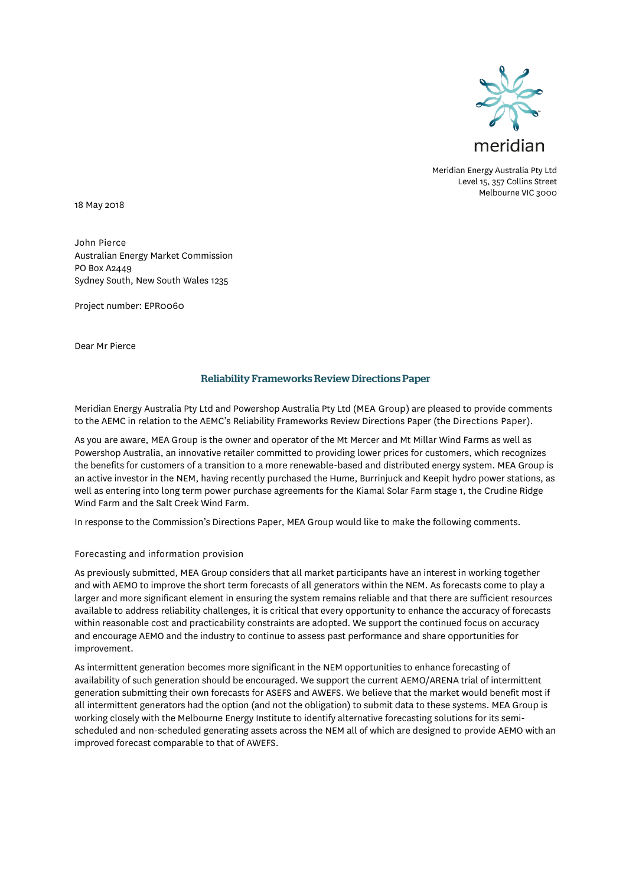

Meridian Energy Australia Pty Ltd Level 15, 357 Collins Street Melbourne VIC 3000

18 May 2018

John Pierce Australian Energy Market Commission PO Box A2449 Sydney South, New South Wales 1235

Project number: EPR0060

Dear Mr Pierce

# Reliability Frameworks Review Directions Paper

Meridian Energy Australia Pty Ltd and Powershop Australia Pty Ltd (MEA Group) are pleased to provide comments to the AEMC in relation to the AEMC's Reliability Frameworks Review Directions Paper (the Directions Paper).

As you are aware, MEA Group is the owner and operator of the Mt Mercer and Mt Millar Wind Farms as well as Powershop Australia, an innovative retailer committed to providing lower prices for customers, which recognizes the benefits for customers of a transition to a more renewable-based and distributed energy system. MEA Group is an active investor in the NEM, having recently purchased the Hume, Burrinjuck and Keepit hydro power stations, as well as entering into long term power purchase agreements for the Kiamal Solar Farm stage 1, the Crudine Ridge Wind Farm and the Salt Creek Wind Farm.

In response to the Commission's Directions Paper, MEA Group would like to make the following comments.

#### Forecasting and information provision

As previously submitted, MEA Group considers that all market participants have an interest in working together and with AEMO to improve the short term forecasts of all generators within the NEM. As forecasts come to play a larger and more significant element in ensuring the system remains reliable and that there are sufficient resources available to address reliability challenges, it is critical that every opportunity to enhance the accuracy of forecasts within reasonable cost and practicability constraints are adopted. We support the continued focus on accuracy and encourage AEMO and the industry to continue to assess past performance and share opportunities for improvement.

As intermittent generation becomes more significant in the NEM opportunities to enhance forecasting of availability of such generation should be encouraged. We support the current AEMO/ARENA trial of intermittent generation submitting their own forecasts for ASEFS and AWEFS. We believe that the market would benefit most if all intermittent generators had the option (and not the obligation) to submit data to these systems. MEA Group is working closely with the Melbourne Energy Institute to identify alternative forecasting solutions for its semischeduled and non-scheduled generating assets across the NEM all of which are designed to provide AEMO with an improved forecast comparable to that of AWEFS.